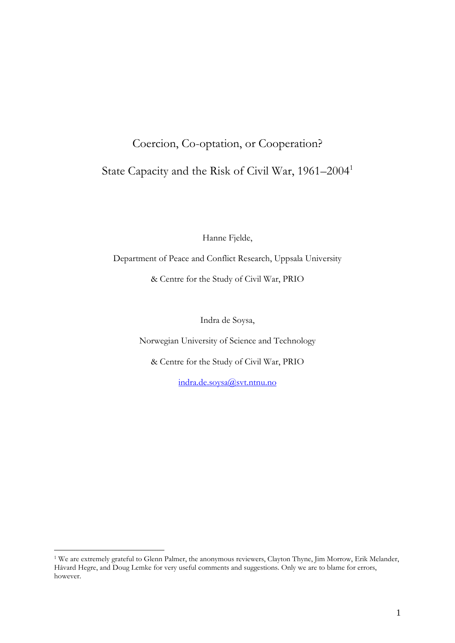# Coercion, Co-optation, or Cooperation? State Capacity and the Risk of Civil War, 1961–2004<sup>1</sup>

Hanne Fjelde,

Department of Peace and Conflict Research, Uppsala University

& Centre for the Study of Civil War, PRIO

Indra de Soysa,

Norwegian University of Science and Technology

& Centre for the Study of Civil War, PRIO

[indra.de.soysa@svt.ntnu.no](mailto:indra.de.soysa@svt.ntnu.no)

<sup>1</sup> We are extremely grateful to Glenn Palmer, the anonymous reviewers, Clayton Thyne, Jim Morrow, Erik Melander, Håvard Hegre, and Doug Lemke for very useful comments and suggestions. Only we are to blame for errors, however.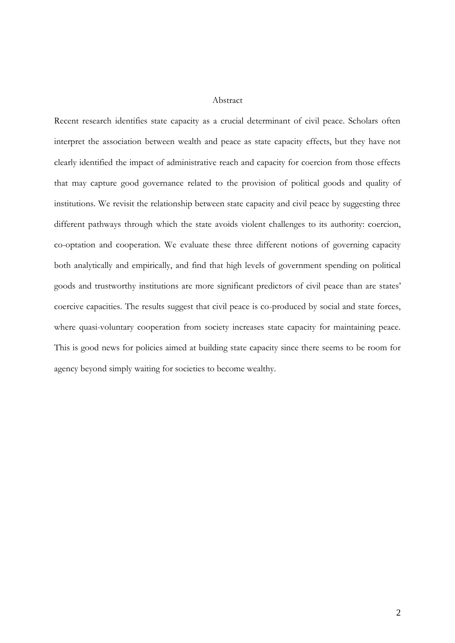#### Abstract

Recent research identifies state capacity as a crucial determinant of civil peace. Scholars often interpret the association between wealth and peace as state capacity effects, but they have not clearly identified the impact of administrative reach and capacity for coercion from those effects that may capture good governance related to the provision of political goods and quality of institutions. We revisit the relationship between state capacity and civil peace by suggesting three different pathways through which the state avoids violent challenges to its authority: coercion, co-optation and cooperation. We evaluate these three different notions of governing capacity both analytically and empirically, and find that high levels of government spending on political goods and trustworthy institutions are more significant predictors of civil peace than are states' coercive capacities. The results suggest that civil peace is co-produced by social and state forces, where quasi-voluntary cooperation from society increases state capacity for maintaining peace. This is good news for policies aimed at building state capacity since there seems to be room for agency beyond simply waiting for societies to become wealthy.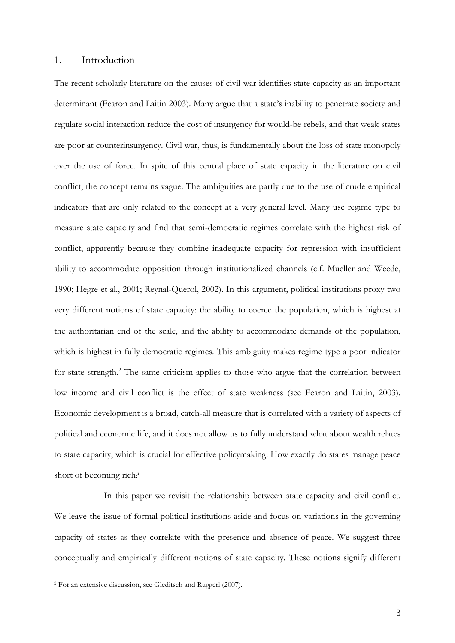#### 1. Introduction

The recent scholarly literature on the causes of civil war identifies state capacity as an important determinant (Fearon and Laitin 2003). Many argue that a state's inability to penetrate society and regulate social interaction reduce the cost of insurgency for would-be rebels, and that weak states are poor at counterinsurgency. Civil war, thus, is fundamentally about the loss of state monopoly over the use of force. In spite of this central place of state capacity in the literature on civil conflict, the concept remains vague. The ambiguities are partly due to the use of crude empirical indicators that are only related to the concept at a very general level. Many use regime type to measure state capacity and find that semi-democratic regimes correlate with the highest risk of conflict, apparently because they combine inadequate capacity for repression with insufficient ability to accommodate opposition through institutionalized channels (c.f. Mueller and Weede, 1990; Hegre et al., 2001; Reynal-Querol, 2002). In this argument, political institutions proxy two very different notions of state capacity: the ability to coerce the population, which is highest at the authoritarian end of the scale, and the ability to accommodate demands of the population, which is highest in fully democratic regimes. This ambiguity makes regime type a poor indicator for state strength.<sup>2</sup> The same criticism applies to those who argue that the correlation between low income and civil conflict is the effect of state weakness (see Fearon and Laitin, 2003). Economic development is a broad, catch-all measure that is correlated with a variety of aspects of political and economic life, and it does not allow us to fully understand what about wealth relates to state capacity, which is crucial for effective policymaking. How exactly do states manage peace short of becoming rich?

In this paper we revisit the relationship between state capacity and civil conflict. We leave the issue of formal political institutions aside and focus on variations in the governing capacity of states as they correlate with the presence and absence of peace. We suggest three conceptually and empirically different notions of state capacity. These notions signify different

<sup>2</sup> For an extensive discussion, see Gleditsch and Ruggeri (2007).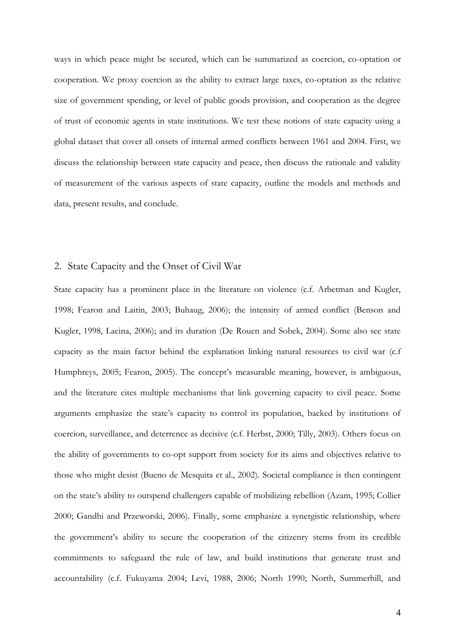ways in which peace might be secured, which can be summarized as coercion, co-optation or cooperation. We proxy coercion as the ability to extract large taxes, co-optation as the relative size of government spending, or level of public goods provision, and cooperation as the degree of trust of economic agents in state institutions. We test these notions of state capacity using a global dataset that cover all onsets of internal armed conflicts between 1961 and 2004. First, we discuss the relationship between state capacity and peace, then discuss the rationale and validity of measurement of the various aspects of state capacity, outline the models and methods and data, present results, and conclude.

### 2. State Capacity and the Onset of Civil War

State capacity has a prominent place in the literature on violence (c.f. Arbetman and Kugler, 1998; Fearon and Laitin, 2003; Buhaug, 2006); the intensity of armed conflict (Benson and Kugler, 1998, Lacina, 2006); and its duration (De Rouen and Sobek, 2004). Some also see state capacity as the main factor behind the explanation linking natural resources to civil war (c.f Humphreys, 2005; Fearon, 2005). The concept's measurable meaning, however, is ambiguous, and the literature cites multiple mechanisms that link governing capacity to civil peace. Some arguments emphasize the state's capacity to control its population, backed by institutions of coercion, surveillance, and deterrence as decisive (c.f. Herbst, 2000; Tilly, 2003). Others focus on the ability of governments to co-opt support from society for its aims and objectives relative to those who might desist (Bueno de Mesquita et al., 2002). Societal compliance is then contingent on the state's ability to outspend challengers capable of mobilizing rebellion (Azam, 1995; Collier 2000; Gandhi and Przeworski, 2006). Finally, some emphasize a synergistic relationship, where the government's ability to secure the cooperation of the citizenry stems from its credible commitments to safeguard the rule of law, and build institutions that generate trust and accountability (c.f. Fukuyama 2004; Levi, 1988, 2006; North 1990; North, Summerhill, and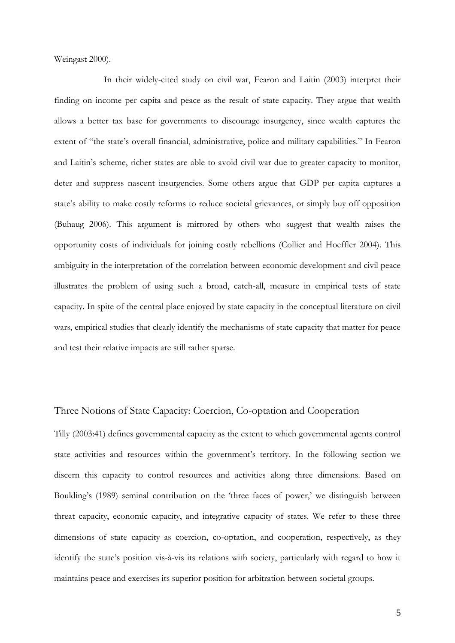Weingast 2000).

In their widely-cited study on civil war, Fearon and Laitin (2003) interpret their finding on income per capita and peace as the result of state capacity. They argue that wealth allows a better tax base for governments to discourage insurgency, since wealth captures the extent of "the state's overall financial, administrative, police and military capabilities." In Fearon and Laitin's scheme, richer states are able to avoid civil war due to greater capacity to monitor, deter and suppress nascent insurgencies. Some others argue that GDP per capita captures a state's ability to make costly reforms to reduce societal grievances, or simply buy off opposition (Buhaug 2006). This argument is mirrored by others who suggest that wealth raises the opportunity costs of individuals for joining costly rebellions (Collier and Hoeffler 2004). This ambiguity in the interpretation of the correlation between economic development and civil peace illustrates the problem of using such a broad, catch-all, measure in empirical tests of state capacity. In spite of the central place enjoyed by state capacity in the conceptual literature on civil wars, empirical studies that clearly identify the mechanisms of state capacity that matter for peace and test their relative impacts are still rather sparse.

## Three Notions of State Capacity: Coercion, Co-optation and Cooperation

Tilly (2003:41) defines governmental capacity as the extent to which governmental agents control state activities and resources within the government's territory. In the following section we discern this capacity to control resources and activities along three dimensions. Based on Boulding's (1989) seminal contribution on the 'three faces of power,' we distinguish between threat capacity, economic capacity, and integrative capacity of states. We refer to these three dimensions of state capacity as coercion, co-optation, and cooperation, respectively, as they identify the state's position vis-à-vis its relations with society, particularly with regard to how it maintains peace and exercises its superior position for arbitration between societal groups.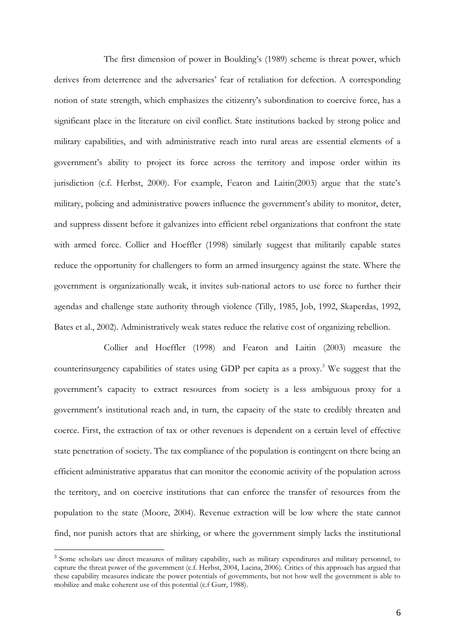The first dimension of power in Boulding's (1989) scheme is threat power, which derives from deterrence and the adversaries' fear of retaliation for defection. A corresponding notion of state strength, which emphasizes the citizenry's subordination to coercive force, has a significant place in the literature on civil conflict. State institutions backed by strong police and military capabilities, and with administrative reach into rural areas are essential elements of a government's ability to project its force across the territory and impose order within its jurisdiction (c.f. Herbst, 2000). For example, Fearon and Laitin(2003) argue that the state's military, policing and administrative powers influence the government's ability to monitor, deter, and suppress dissent before it galvanizes into efficient rebel organizations that confront the state with armed force. Collier and Hoeffler (1998) similarly suggest that militarily capable states reduce the opportunity for challengers to form an armed insurgency against the state. Where the government is organizationally weak, it invites sub-national actors to use force to further their agendas and challenge state authority through violence (Tilly, 1985, Job, 1992, Skaperdas, 1992, Bates et al., 2002). Administratively weak states reduce the relative cost of organizing rebellion.

Collier and Hoeffler (1998) and Fearon and Laitin (2003) measure the counterinsurgency capabilities of states using GDP per capita as a proxy.<sup>3</sup> We suggest that the government's capacity to extract resources from society is a less ambiguous proxy for a government's institutional reach and, in turn, the capacity of the state to credibly threaten and coerce. First, the extraction of tax or other revenues is dependent on a certain level of effective state penetration of society. The tax compliance of the population is contingent on there being an efficient administrative apparatus that can monitor the economic activity of the population across the territory, and on coercive institutions that can enforce the transfer of resources from the population to the state (Moore, 2004). Revenue extraction will be low where the state cannot find, nor punish actors that are shirking, or where the government simply lacks the institutional

<sup>&</sup>lt;sup>3</sup> Some scholars use direct measures of military capability, such as military expenditures and military personnel, to capture the threat power of the government (c.f. Herbst, 2004, Lacina, 2006). Critics of this approach has argued that these capability measures indicate the power potentials of governments, but not how well the government is able to mobilize and make coherent use of this potential (c.f Gurr, 1988).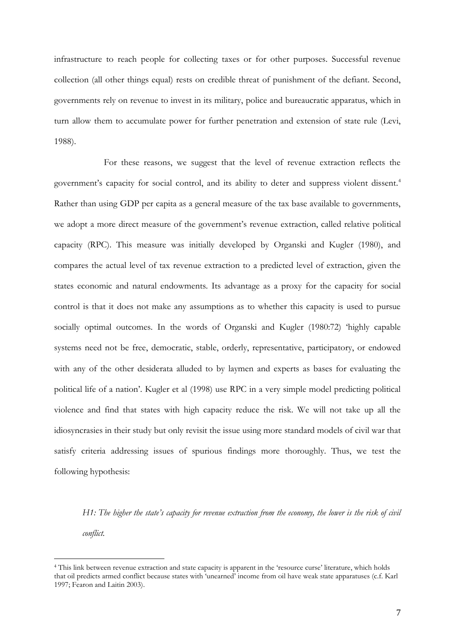infrastructure to reach people for collecting taxes or for other purposes. Successful revenue collection (all other things equal) rests on credible threat of punishment of the defiant. Second, governments rely on revenue to invest in its military, police and bureaucratic apparatus, which in turn allow them to accumulate power for further penetration and extension of state rule (Levi, 1988).

For these reasons, we suggest that the level of revenue extraction reflects the government's capacity for social control, and its ability to deter and suppress violent dissent.<sup>4</sup> Rather than using GDP per capita as a general measure of the tax base available to governments, we adopt a more direct measure of the government's revenue extraction, called relative political capacity (RPC). This measure was initially developed by Organski and Kugler (1980), and compares the actual level of tax revenue extraction to a predicted level of extraction, given the states economic and natural endowments. Its advantage as a proxy for the capacity for social control is that it does not make any assumptions as to whether this capacity is used to pursue socially optimal outcomes. In the words of Organski and Kugler (1980:72) 'highly capable systems need not be free, democratic, stable, orderly, representative, participatory, or endowed with any of the other desiderata alluded to by laymen and experts as bases for evaluating the political life of a nation'. Kugler et al (1998) use RPC in a very simple model predicting political violence and find that states with high capacity reduce the risk. We will not take up all the idiosyncrasies in their study but only revisit the issue using more standard models of civil war that satisfy criteria addressing issues of spurious findings more thoroughly. Thus, we test the following hypothesis:

*H1: The higher the state's capacity for revenue extraction from the economy, the lower is the risk of civil conflict.* 

<sup>4</sup> This link between revenue extraction and state capacity is apparent in the 'resource curse' literature, which holds that oil predicts armed conflict because states with 'unearned' income from oil have weak state apparatuses (c.f. Karl 1997; Fearon and Laitin 2003).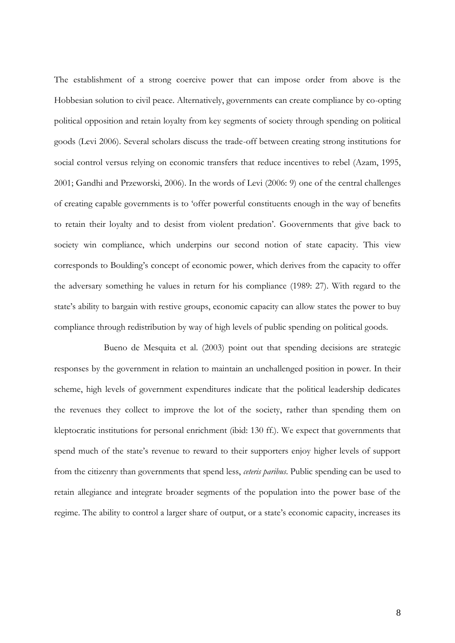The establishment of a strong coercive power that can impose order from above is the Hobbesian solution to civil peace. Alternatively, governments can create compliance by co-opting political opposition and retain loyalty from key segments of society through spending on political goods (Levi 2006). Several scholars discuss the trade-off between creating strong institutions for social control versus relying on economic transfers that reduce incentives to rebel (Azam, 1995, 2001; Gandhi and Przeworski, 2006). In the words of Levi (2006: 9) one of the central challenges of creating capable governments is to 'offer powerful constituents enough in the way of benefits to retain their loyalty and to desist from violent predation'. Goovernments that give back to society win compliance, which underpins our second notion of state capacity. This view corresponds to Boulding's concept of economic power, which derives from the capacity to offer the adversary something he values in return for his compliance (1989: 27). With regard to the state's ability to bargain with restive groups, economic capacity can allow states the power to buy compliance through redistribution by way of high levels of public spending on political goods.

Bueno de Mesquita et al. (2003) point out that spending decisions are strategic responses by the government in relation to maintain an unchallenged position in power. In their scheme, high levels of government expenditures indicate that the political leadership dedicates the revenues they collect to improve the lot of the society, rather than spending them on kleptocratic institutions for personal enrichment (ibid: 130 ff.). We expect that governments that spend much of the state's revenue to reward to their supporters enjoy higher levels of support from the citizenry than governments that spend less, *ceteris paribus*. Public spending can be used to retain allegiance and integrate broader segments of the population into the power base of the regime. The ability to control a larger share of output, or a state's economic capacity, increases its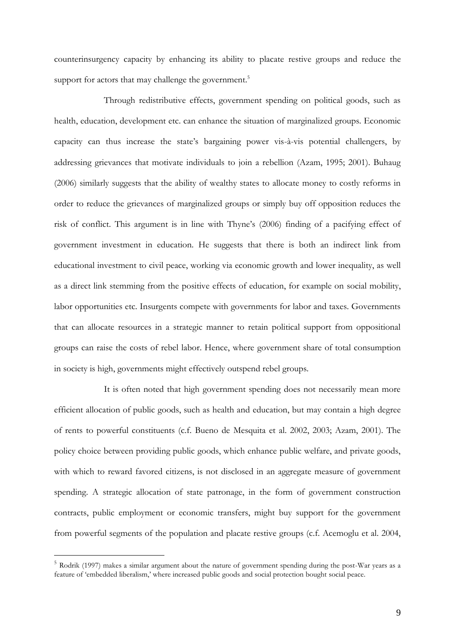counterinsurgency capacity by enhancing its ability to placate restive groups and reduce the support for actors that may challenge the government.<sup>5</sup>

Through redistributive effects, government spending on political goods, such as health, education, development etc. can enhance the situation of marginalized groups. Economic capacity can thus increase the state's bargaining power vis-à-vis potential challengers, by addressing grievances that motivate individuals to join a rebellion (Azam, 1995; 2001). Buhaug (2006) similarly suggests that the ability of wealthy states to allocate money to costly reforms in order to reduce the grievances of marginalized groups or simply buy off opposition reduces the risk of conflict. This argument is in line with Thyne's (2006) finding of a pacifying effect of government investment in education. He suggests that there is both an indirect link from educational investment to civil peace, working via economic growth and lower inequality, as well as a direct link stemming from the positive effects of education, for example on social mobility, labor opportunities etc. Insurgents compete with governments for labor and taxes. Governments that can allocate resources in a strategic manner to retain political support from oppositional groups can raise the costs of rebel labor. Hence, where government share of total consumption in society is high, governments might effectively outspend rebel groups.

It is often noted that high government spending does not necessarily mean more efficient allocation of public goods, such as health and education, but may contain a high degree of rents to powerful constituents (c.f. Bueno de Mesquita et al. 2002, 2003; Azam, 2001). The policy choice between providing public goods, which enhance public welfare, and private goods, with which to reward favored citizens, is not disclosed in an aggregate measure of government spending. A strategic allocation of state patronage, in the form of government construction contracts, public employment or economic transfers, might buy support for the government from powerful segments of the population and placate restive groups (c.f. Acemoglu et al. 2004,

<sup>5</sup> Rodrik (1997) makes a similar argument about the nature of government spending during the post-War years as a feature of 'embedded liberalism,' where increased public goods and social protection bought social peace.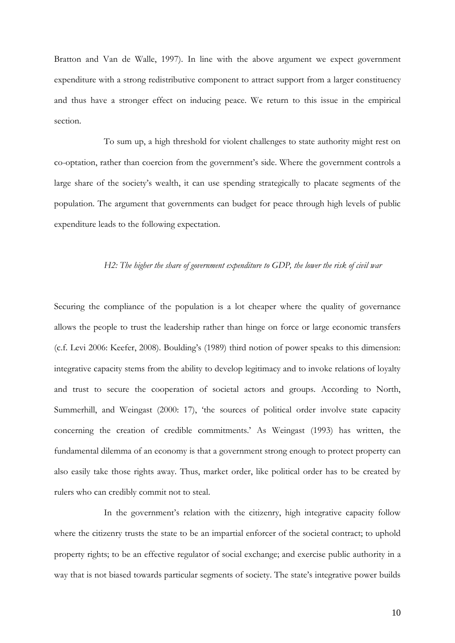Bratton and Van de Walle, 1997). In line with the above argument we expect government expenditure with a strong redistributive component to attract support from a larger constituency and thus have a stronger effect on inducing peace. We return to this issue in the empirical section.

To sum up, a high threshold for violent challenges to state authority might rest on co-optation, rather than coercion from the government's side. Where the government controls a large share of the society's wealth, it can use spending strategically to placate segments of the population. The argument that governments can budget for peace through high levels of public expenditure leads to the following expectation.

#### *H2: The higher the share of government expenditure to GDP, the lower the risk of civil war*

Securing the compliance of the population is a lot cheaper where the quality of governance allows the people to trust the leadership rather than hinge on force or large economic transfers (c.f. Levi 2006: Keefer, 2008). Boulding's (1989) third notion of power speaks to this dimension: integrative capacity stems from the ability to develop legitimacy and to invoke relations of loyalty and trust to secure the cooperation of societal actors and groups. According to North, Summerhill, and Weingast (2000: 17), 'the sources of political order involve state capacity concerning the creation of credible commitments.' As Weingast (1993) has written, the fundamental dilemma of an economy is that a government strong enough to protect property can also easily take those rights away. Thus, market order, like political order has to be created by rulers who can credibly commit not to steal.

In the government's relation with the citizenry, high integrative capacity follow where the citizenry trusts the state to be an impartial enforcer of the societal contract; to uphold property rights; to be an effective regulator of social exchange; and exercise public authority in a way that is not biased towards particular segments of society. The state's integrative power builds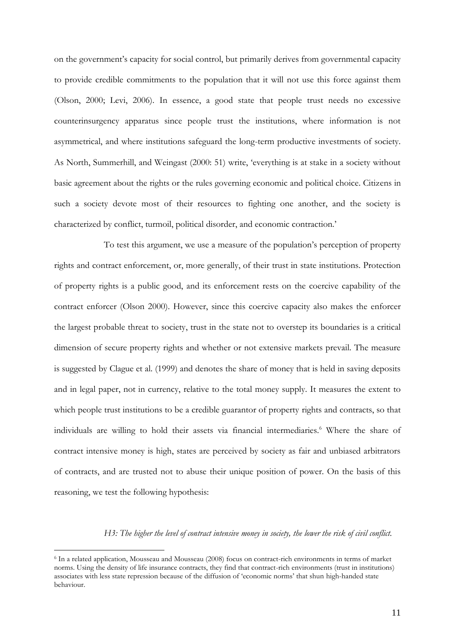on the government's capacity for social control, but primarily derives from governmental capacity to provide credible commitments to the population that it will not use this force against them (Olson, 2000; Levi, 2006). In essence, a good state that people trust needs no excessive counterinsurgency apparatus since people trust the institutions, where information is not asymmetrical, and where institutions safeguard the long-term productive investments of society. As North, Summerhill, and Weingast (2000: 51) write, 'everything is at stake in a society without basic agreement about the rights or the rules governing economic and political choice. Citizens in such a society devote most of their resources to fighting one another, and the society is characterized by conflict, turmoil, political disorder, and economic contraction.'

To test this argument, we use a measure of the population's perception of property rights and contract enforcement, or, more generally, of their trust in state institutions. Protection of property rights is a public good, and its enforcement rests on the coercive capability of the contract enforcer (Olson 2000). However, since this coercive capacity also makes the enforcer the largest probable threat to society, trust in the state not to overstep its boundaries is a critical dimension of secure property rights and whether or not extensive markets prevail. The measure is suggested by Clague et al. (1999) and denotes the share of money that is held in saving deposits and in legal paper, not in currency, relative to the total money supply. It measures the extent to which people trust institutions to be a credible guarantor of property rights and contracts, so that individuals are willing to hold their assets via financial intermediaries.<sup>6</sup> Where the share of contract intensive money is high, states are perceived by society as fair and unbiased arbitrators of contracts, and are trusted not to abuse their unique position of power. On the basis of this reasoning, we test the following hypothesis:

#### *H3: The higher the level of contract intensive money in society, the lower the risk of civil conflict.*

<sup>6</sup> In a related application, Mousseau and Mousseau (2008) focus on contract-rich environments in terms of market norms. Using the density of life insurance contracts, they find that contract-rich environments (trust in institutions) associates with less state repression because of the diffusion of 'economic norms' that shun high-handed state behaviour.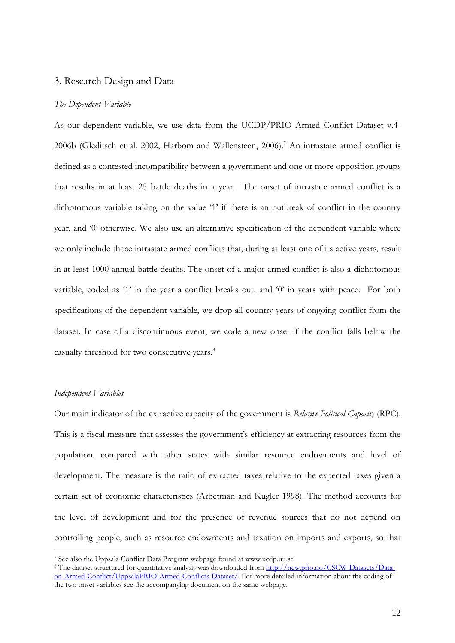#### 3. Research Design and Data

#### *The Dependent Variable*

As our dependent variable, we use data from the UCDP/PRIO Armed Conflict Dataset v.4- 2006b (Gleditsch et al. 2002, Harbom and Wallensteen, 2006).<sup>7</sup> An intrastate armed conflict is defined as a contested incompatibility between a government and one or more opposition groups that results in at least 25 battle deaths in a year. The onset of intrastate armed conflict is a dichotomous variable taking on the value '1' if there is an outbreak of conflict in the country year, and '0' otherwise. We also use an alternative specification of the dependent variable where we only include those intrastate armed conflicts that, during at least one of its active years, result in at least 1000 annual battle deaths. The onset of a major armed conflict is also a dichotomous variable, coded as '1' in the year a conflict breaks out, and '0' in years with peace. For both specifications of the dependent variable, we drop all country years of ongoing conflict from the dataset. In case of a discontinuous event, we code a new onset if the conflict falls below the casualty threshold for two consecutive years.<sup>8</sup>

#### *Independent Variables*

 $\overline{a}$ 

Our main indicator of the extractive capacity of the government is *Relative Political Capacity* (RPC). This is a fiscal measure that assesses the government's efficiency at extracting resources from the population, compared with other states with similar resource endowments and level of development. The measure is the ratio of extracted taxes relative to the expected taxes given a certain set of economic characteristics (Arbetman and Kugler 1998). The method accounts for the level of development and for the presence of revenue sources that do not depend on controlling people, such as resource endowments and taxation on imports and exports, so that

<sup>7</sup> See also the Uppsala Conflict Data Program webpage found at www.ucdp.uu.se

<sup>&</sup>lt;sup>8</sup> The dataset structured for quantitative analysis was downloaded from [http://new.prio.no/CSCW-Datasets/Data](http://new.prio.no/CSCW-Datasets/Data-on-Armed-Conflict/UppsalaPRIO-Armed-Conflicts-Dataset/)[on-Armed-Conflict/UppsalaPRIO-Armed-Conflicts-Dataset/.](http://new.prio.no/CSCW-Datasets/Data-on-Armed-Conflict/UppsalaPRIO-Armed-Conflicts-Dataset/) For more detailed information about the coding of the two onset variables see the accompanying document on the same webpage.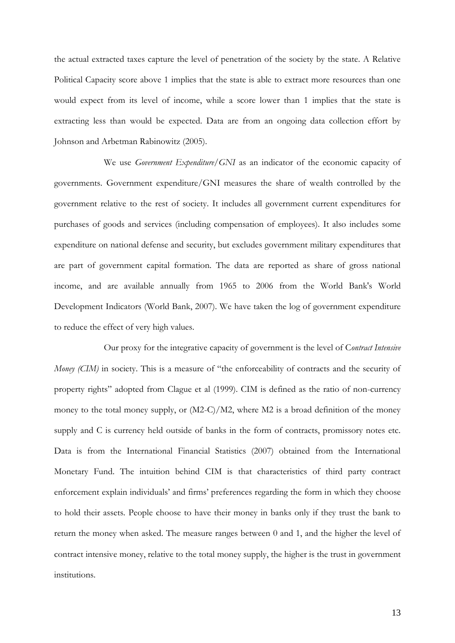the actual extracted taxes capture the level of penetration of the society by the state. A Relative Political Capacity score above 1 implies that the state is able to extract more resources than one would expect from its level of income, while a score lower than 1 implies that the state is extracting less than would be expected. Data are from an ongoing data collection effort by Johnson and Arbetman Rabinowitz (2005).

We use *Government Expenditure/GNI* as an indicator of the economic capacity of governments. Government expenditure/GNI measures the share of wealth controlled by the government relative to the rest of society. It includes all government current expenditures for purchases of goods and services (including compensation of employees). It also includes some expenditure on national defense and security, but excludes government military expenditures that are part of government capital formation. The data are reported as share of gross national income, and are available annually from 1965 to 2006 from the World Bank's [World](http://web.worldbank.org/WBSITE/EXTERNAL/DATASTATISTICS/0,,contentMDK:20899413~pagePK:64133150~piPK:64133175~theSitePK:239419,00.html)  [Development Indicators](http://web.worldbank.org/WBSITE/EXTERNAL/DATASTATISTICS/0,,contentMDK:20899413~pagePK:64133150~piPK:64133175~theSitePK:239419,00.html) (World Bank, 2007). We have taken the log of government expenditure to reduce the effect of very high values.

Our proxy for the integrative capacity of government is the level of C*ontract Intensive Money (CIM)* in society. This is a measure of "the enforceability of contracts and the security of property rights" adopted from Clague et al (1999). CIM is defined as the ratio of non-currency money to the total money supply, or  $(M2-C)/M2$ , where M2 is a broad definition of the money supply and C is currency held outside of banks in the form of contracts, promissory notes etc. Data is from the International Financial Statistics (2007) obtained from the International Monetary Fund. The intuition behind CIM is that characteristics of third party contract enforcement explain individuals' and firms' preferences regarding the form in which they choose to hold their assets. People choose to have their money in banks only if they trust the bank to return the money when asked. The measure ranges between 0 and 1, and the higher the level of contract intensive money, relative to the total money supply, the higher is the trust in government institutions.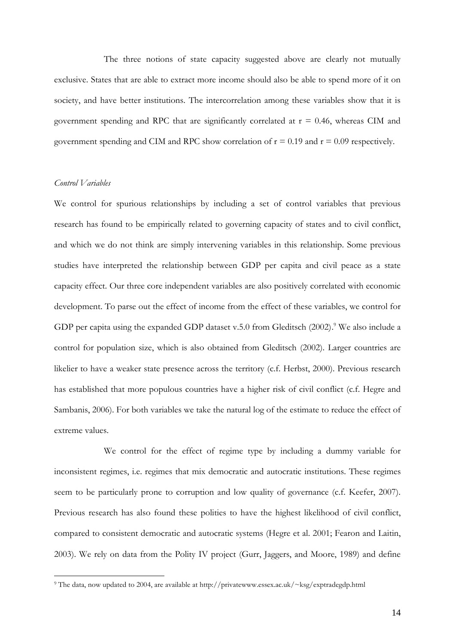The three notions of state capacity suggested above are clearly not mutually exclusive. States that are able to extract more income should also be able to spend more of it on society, and have better institutions. The intercorrelation among these variables show that it is government spending and RPC that are significantly correlated at  $r = 0.46$ , whereas CIM and government spending and CIM and RPC show correlation of  $r = 0.19$  and  $r = 0.09$  respectively.

#### *Control Variables*

 $\overline{a}$ 

We control for spurious relationships by including a set of control variables that previous research has found to be empirically related to governing capacity of states and to civil conflict, and which we do not think are simply intervening variables in this relationship. Some previous studies have interpreted the relationship between GDP per capita and civil peace as a state capacity effect. Our three core independent variables are also positively correlated with economic development. To parse out the effect of income from the effect of these variables, we control for GDP per capita using the expanded GDP dataset v.5.0 from Gleditsch (2002). <sup>9</sup> We also include a control for population size, which is also obtained from Gleditsch (2002). Larger countries are likelier to have a weaker state presence across the territory (c.f. Herbst, 2000). Previous research has established that more populous countries have a higher risk of civil conflict (c.f. Hegre and Sambanis, 2006). For both variables we take the natural log of the estimate to reduce the effect of extreme values.

We control for the effect of regime type by including a dummy variable for inconsistent regimes, i.e. regimes that mix democratic and autocratic institutions. These regimes seem to be particularly prone to corruption and low quality of governance (c.f. Keefer, 2007). Previous research has also found these polities to have the highest likelihood of civil conflict, compared to consistent democratic and autocratic systems (Hegre et al. 2001; Fearon and Laitin, 2003). We rely on data from the Polity IV project (Gurr, Jaggers, and Moore, 1989) and define

<sup>9</sup> The data, now updated to 2004, are available at http://privatewww.essex.ac.uk/~ksg/exptradegdp.html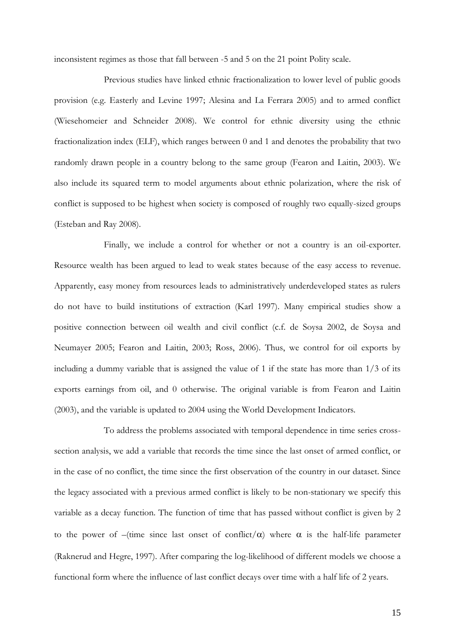inconsistent regimes as those that fall between -5 and 5 on the 21 point Polity scale.

Previous studies have linked ethnic fractionalization to lower level of public goods provision (e.g. Easterly and Levine 1997; Alesina and La Ferrara 2005) and to armed conflict (Wiesehomeier and Schneider 2008). We control for ethnic diversity using the ethnic fractionalization index (ELF), which ranges between 0 and 1 and denotes the probability that two randomly drawn people in a country belong to the same group (Fearon and Laitin, 2003). We also include its squared term to model arguments about ethnic polarization, where the risk of conflict is supposed to be highest when society is composed of roughly two equally-sized groups (Esteban and Ray 2008).

Finally, we include a control for whether or not a country is an oil-exporter. Resource wealth has been argued to lead to weak states because of the easy access to revenue. Apparently, easy money from resources leads to administratively underdeveloped states as rulers do not have to build institutions of extraction (Karl 1997). Many empirical studies show a positive connection between oil wealth and civil conflict (c.f. de Soysa 2002, de Soysa and Neumayer 2005; Fearon and Laitin, 2003; Ross, 2006). Thus, we control for oil exports by including a dummy variable that is assigned the value of 1 if the state has more than 1/3 of its exports earnings from oil, and 0 otherwise. The original variable is from Fearon and Laitin (2003), and the variable is updated to 2004 using the World Development Indicators.

To address the problems associated with temporal dependence in time series crosssection analysis, we add a variable that records the time since the last onset of armed conflict, or in the case of no conflict, the time since the first observation of the country in our dataset. Since the legacy associated with a previous armed conflict is likely to be non-stationary we specify this variable as a decay function. The function of time that has passed without conflict is given by 2 to the power of –(time since last onset of conflict/ $\alpha$ ) where  $\alpha$  is the half-life parameter (Raknerud and Hegre, 1997). After comparing the log-likelihood of different models we choose a functional form where the influence of last conflict decays over time with a half life of 2 years.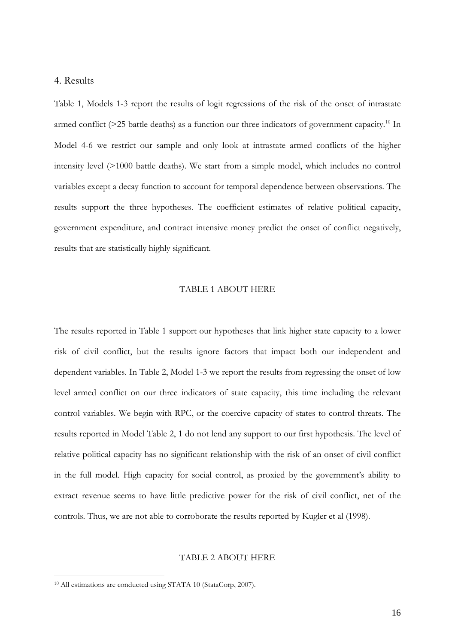#### 4. Results

Table 1, Models 1-3 report the results of logit regressions of the risk of the onset of intrastate armed conflict ( $>$ 25 battle deaths) as a function our three indicators of government capacity.<sup>10</sup> In Model 4-6 we restrict our sample and only look at intrastate armed conflicts of the higher intensity level (>1000 battle deaths). We start from a simple model, which includes no control variables except a decay function to account for temporal dependence between observations. The results support the three hypotheses. The coefficient estimates of relative political capacity, government expenditure, and contract intensive money predict the onset of conflict negatively, results that are statistically highly significant.

#### TABLE 1 ABOUT HERE

The results reported in Table 1 support our hypotheses that link higher state capacity to a lower risk of civil conflict, but the results ignore factors that impact both our independent and dependent variables. In Table 2, Model 1-3 we report the results from regressing the onset of low level armed conflict on our three indicators of state capacity, this time including the relevant control variables. We begin with RPC, or the coercive capacity of states to control threats. The results reported in Model Table 2, 1 do not lend any support to our first hypothesis. The level of relative political capacity has no significant relationship with the risk of an onset of civil conflict in the full model. High capacity for social control, as proxied by the government's ability to extract revenue seems to have little predictive power for the risk of civil conflict, net of the controls. Thus, we are not able to corroborate the results reported by Kugler et al (1998).

#### TABLE 2 ABOUT HERE

<sup>10</sup> All estimations are conducted using STATA 10 (StataCorp, 2007).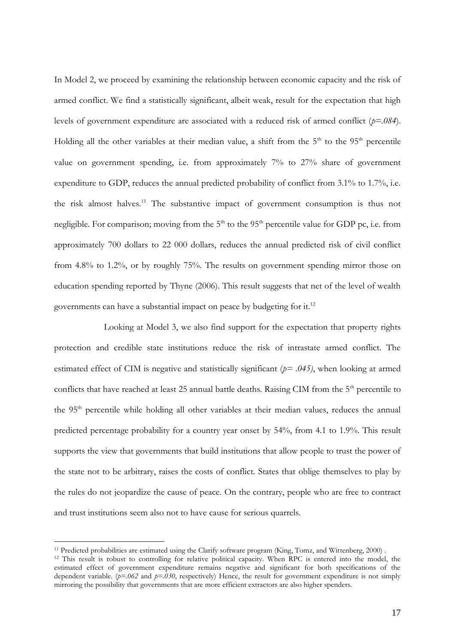In Model 2, we proceed by examining the relationship between economic capacity and the risk of armed conflict. We find a statistically significant, albeit weak, result for the expectation that high levels of government expenditure are associated with a reduced risk of armed conflict (*p=.084*). Holding all the other variables at their median value, a shift from the  $5<sup>th</sup>$  to the  $95<sup>th</sup>$  percentile value on government spending, i.e. from approximately 7% to 27% share of government expenditure to GDP, reduces the annual predicted probability of conflict from 3.1% to 1.7%, i.e. the risk almost halves.<sup>11</sup> The substantive impact of government consumption is thus not negligible. For comparison; moving from the  $5<sup>th</sup>$  to the  $95<sup>th</sup>$  percentile value for GDP pc, i.e. from approximately 700 dollars to 22 000 dollars, reduces the annual predicted risk of civil conflict from 4.8% to 1.2%, or by roughly 75%. The results on government spending mirror those on education spending reported by Thyne (2006). This result suggests that net of the level of wealth governments can have a substantial impact on peace by budgeting for it.<sup>12</sup>

Looking at Model 3, we also find support for the expectation that property rights protection and credible state institutions reduce the risk of intrastate armed conflict. The estimated effect of CIM is negative and statistically significant (*p= .045)*, when looking at armed conflicts that have reached at least 25 annual battle deaths. Raising CIM from the 5<sup>th</sup> percentile to the 95<sup>th</sup> percentile while holding all other variables at their median values, reduces the annual predicted percentage probability for a country year onset by 54%, from 4.1 to 1.9%. This result supports the view that governments that build institutions that allow people to trust the power of the state not to be arbitrary, raises the costs of conflict. States that oblige themselves to play by the rules do not jeopardize the cause of peace. On the contrary, people who are free to contract and trust institutions seem also not to have cause for serious quarrels.

<sup>&</sup>lt;sup>11</sup> Predicted probabilities are estimated using the Clarify software program (King, Tomz, and Wittenberg, 2000).

<sup>&</sup>lt;sup>12</sup> This result is robust to controlling for relative political capacity. When RPC is entered into the model, the estimated effect of government expenditure remains negative and significant for both specifications of the dependent variable.  $(p=.062$  and  $p=.030$ , respectively) Hence, the result for government expenditure is not simply mirroring the possibility that governments that are more efficient extractors are also higher spenders.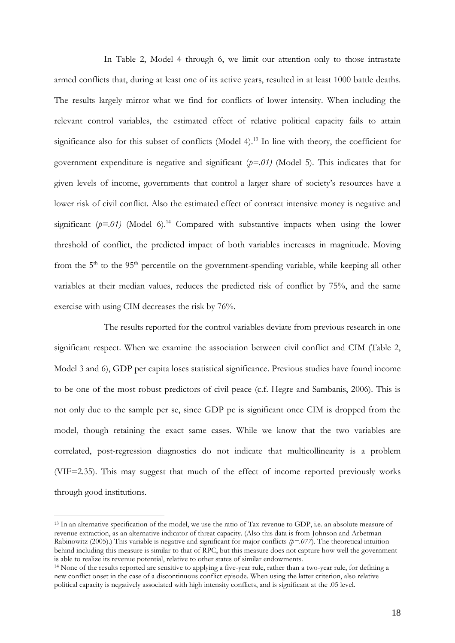In Table 2, Model 4 through 6, we limit our attention only to those intrastate armed conflicts that, during at least one of its active years, resulted in at least 1000 battle deaths. The results largely mirror what we find for conflicts of lower intensity. When including the relevant control variables, the estimated effect of relative political capacity fails to attain significance also for this subset of conflicts (Model 4).<sup>13</sup> In line with theory, the coefficient for government expenditure is negative and significant (*p=.01)* (Model 5). This indicates that for given levels of income, governments that control a larger share of society's resources have a lower risk of civil conflict. Also the estimated effect of contract intensive money is negative and significant  $(p=01)$  (Model 6).<sup>14</sup> Compared with substantive impacts when using the lower threshold of conflict, the predicted impact of both variables increases in magnitude. Moving from the  $5<sup>th</sup>$  to the  $95<sup>th</sup>$  percentile on the government-spending variable, while keeping all other variables at their median values, reduces the predicted risk of conflict by 75%, and the same exercise with using CIM decreases the risk by 76%.

The results reported for the control variables deviate from previous research in one significant respect. When we examine the association between civil conflict and CIM (Table 2, Model 3 and 6), GDP per capita loses statistical significance. Previous studies have found income to be one of the most robust predictors of civil peace (c.f. Hegre and Sambanis, 2006). This is not only due to the sample per se, since GDP pc is significant once CIM is dropped from the model, though retaining the exact same cases. While we know that the two variables are correlated, post-regression diagnostics do not indicate that multicollinearity is a problem (VIF=2.35). This may suggest that much of the effect of income reported previously works through good institutions.

<sup>&</sup>lt;sup>13</sup> In an alternative specification of the model, we use the ratio of Tax revenue to GDP, i.e. an absolute measure of revenue extraction, as an alternative indicator of threat capacity. (Also this data is from Johnson and Arbetman Rabinowitz (2005).) This variable is negative and significant for major conflicts  $(p=0.077)$ . The theoretical intuition behind including this measure is similar to that of RPC, but this measure does not capture how well the government is able to realize its revenue potential, relative to other states of similar endowments.

<sup>14</sup> None of the results reported are sensitive to applying a five-year rule, rather than a two-year rule, for defining a new conflict onset in the case of a discontinuous conflict episode. When using the latter criterion, also relative political capacity is negatively associated with high intensity conflicts, and is significant at the .05 level.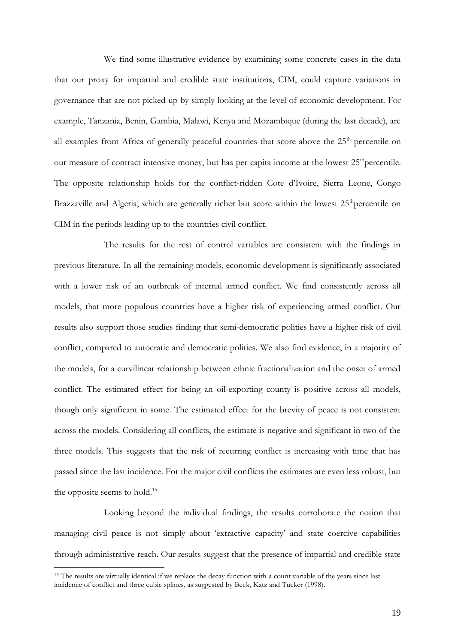We find some illustrative evidence by examining some concrete cases in the data that our proxy for impartial and credible state institutions, CIM, could capture variations in governance that are not picked up by simply looking at the level of economic development. For example, Tanzania, Benin, Gambia, Malawi, Kenya and Mozambique (during the last decade), are all examples from Africa of generally peaceful countries that score above the 25<sup>th</sup> percentile on our measure of contract intensive money, but has per capita income at the lowest  $25<sup>th</sup>$  percentile. The opposite relationship holds for the conflict-ridden Cote d'Ivoire, Sierra Leone, Congo Brazzaville and Algeria, which are generally richer but score within the lowest  $25<sup>th</sup>$  percentile on CIM in the periods leading up to the countries civil conflict.

The results for the rest of control variables are consistent with the findings in previous literature. In all the remaining models, economic development is significantly associated with a lower risk of an outbreak of internal armed conflict. We find consistently across all models, that more populous countries have a higher risk of experiencing armed conflict. Our results also support those studies finding that semi-democratic polities have a higher risk of civil conflict, compared to autocratic and democratic polities. We also find evidence, in a majority of the models, for a curvilinear relationship between ethnic fractionalization and the onset of armed conflict. The estimated effect for being an oil-exporting county is positive across all models, though only significant in some. The estimated effect for the brevity of peace is not consistent across the models. Considering all conflicts, the estimate is negative and significant in two of the three models. This suggests that the risk of recurring conflict is increasing with time that has passed since the last incidence. For the major civil conflicts the estimates are even less robust, but the opposite seems to hold.<sup>15</sup>

Looking beyond the individual findings, the results corroborate the notion that managing civil peace is not simply about 'extractive capacity' and state coercive capabilities through administrative reach. Our results suggest that the presence of impartial and credible state

<sup>&</sup>lt;sup>15</sup> The results are virtually identical if we replace the decay function with a count variable of the years since last incidence of conflict and three cubic splines, as suggested by Beck, Katz and Tucker (1998).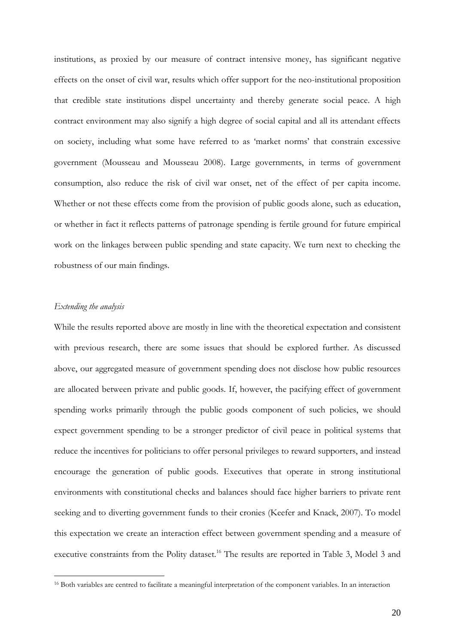institutions, as proxied by our measure of contract intensive money, has significant negative effects on the onset of civil war, results which offer support for the neo-institutional proposition that credible state institutions dispel uncertainty and thereby generate social peace. A high contract environment may also signify a high degree of social capital and all its attendant effects on society, including what some have referred to as 'market norms' that constrain excessive government (Mousseau and Mousseau 2008). Large governments, in terms of government consumption, also reduce the risk of civil war onset, net of the effect of per capita income. Whether or not these effects come from the provision of public goods alone, such as education, or whether in fact it reflects patterns of patronage spending is fertile ground for future empirical work on the linkages between public spending and state capacity. We turn next to checking the robustness of our main findings.

#### *Extending the analysis*

 $\overline{a}$ 

While the results reported above are mostly in line with the theoretical expectation and consistent with previous research, there are some issues that should be explored further. As discussed above, our aggregated measure of government spending does not disclose how public resources are allocated between private and public goods. If, however, the pacifying effect of government spending works primarily through the public goods component of such policies, we should expect government spending to be a stronger predictor of civil peace in political systems that reduce the incentives for politicians to offer personal privileges to reward supporters, and instead encourage the generation of public goods. Executives that operate in strong institutional environments with constitutional checks and balances should face higher barriers to private rent seeking and to diverting government funds to their cronies (Keefer and Knack, 2007). To model this expectation we create an interaction effect between government spending and a measure of executive constraints from the Polity dataset.<sup>16</sup> The results are reported in Table 3, Model 3 and

<sup>16</sup> Both variables are centred to facilitate a meaningful interpretation of the component variables. In an interaction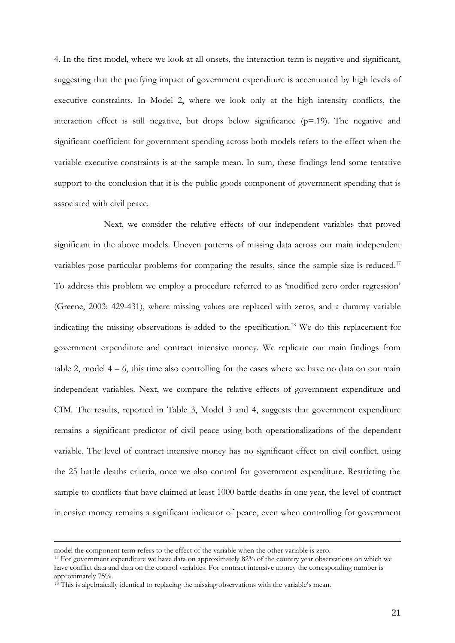4. In the first model, where we look at all onsets, the interaction term is negative and significant, suggesting that the pacifying impact of government expenditure is accentuated by high levels of executive constraints. In Model 2, where we look only at the high intensity conflicts, the interaction effect is still negative, but drops below significance (p=.19). The negative and significant coefficient for government spending across both models refers to the effect when the variable executive constraints is at the sample mean. In sum, these findings lend some tentative support to the conclusion that it is the public goods component of government spending that is associated with civil peace.

Next, we consider the relative effects of our independent variables that proved significant in the above models. Uneven patterns of missing data across our main independent variables pose particular problems for comparing the results, since the sample size is reduced.<sup>17</sup> To address this problem we employ a procedure referred to as 'modified zero order regression' (Greene, 2003: 429-431), where missing values are replaced with zeros, and a dummy variable indicating the missing observations is added to the specification.<sup>18</sup> We do this replacement for government expenditure and contract intensive money. We replicate our main findings from table 2, model  $4 - 6$ , this time also controlling for the cases where we have no data on our main independent variables. Next, we compare the relative effects of government expenditure and CIM. The results, reported in Table 3, Model 3 and 4, suggests that government expenditure remains a significant predictor of civil peace using both operationalizations of the dependent variable. The level of contract intensive money has no significant effect on civil conflict, using the 25 battle deaths criteria, once we also control for government expenditure. Restricting the sample to conflicts that have claimed at least 1000 battle deaths in one year, the level of contract intensive money remains a significant indicator of peace, even when controlling for government

-

model the component term refers to the effect of the variable when the other variable is zero.

<sup>&</sup>lt;sup>17</sup> For government expenditure we have data on approximately 82% of the country year observations on which we have conflict data and data on the control variables. For contract intensive money the corresponding number is approximately 75%.

<sup>&</sup>lt;sup>18</sup> This is algebraically identical to replacing the missing observations with the variable's mean.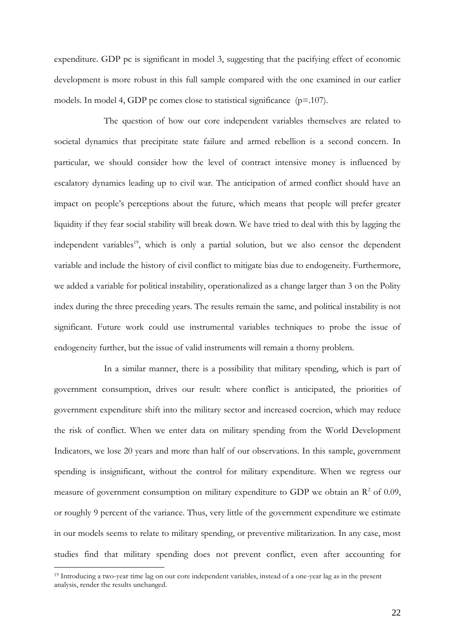expenditure. GDP pc is significant in model 3, suggesting that the pacifying effect of economic development is more robust in this full sample compared with the one examined in our earlier models. In model 4, GDP pc comes close to statistical significance  $(p=107)$ .

The question of how our core independent variables themselves are related to societal dynamics that precipitate state failure and armed rebellion is a second concern. In particular, we should consider how the level of contract intensive money is influenced by escalatory dynamics leading up to civil war. The anticipation of armed conflict should have an impact on people's perceptions about the future, which means that people will prefer greater liquidity if they fear social stability will break down. We have tried to deal with this by lagging the independent variables<sup>19</sup>, which is only a partial solution, but we also censor the dependent variable and include the history of civil conflict to mitigate bias due to endogeneity. Furthermore, we added a variable for political instability, operationalized as a change larger than 3 on the Polity index during the three preceding years. The results remain the same, and political instability is not significant. Future work could use instrumental variables techniques to probe the issue of endogeneity further, but the issue of valid instruments will remain a thorny problem.

In a similar manner, there is a possibility that military spending, which is part of government consumption, drives our result: where conflict is anticipated, the priorities of government expenditure shift into the military sector and increased coercion, which may reduce the risk of conflict. When we enter data on military spending from the World Development Indicators, we lose 20 years and more than half of our observations. In this sample, government spending is insignificant, without the control for military expenditure. When we regress our measure of government consumption on military expenditure to GDP we obtain an  $\mathbb{R}^2$  of 0.09, or roughly 9 percent of the variance. Thus, very little of the government expenditure we estimate in our models seems to relate to military spending, or preventive militarization. In any case, most studies find that military spending does not prevent conflict, even after accounting for

<sup>19</sup> Introducing a two-year time lag on our core independent variables, instead of a one-year lag as in the present analysis, render the results unchanged.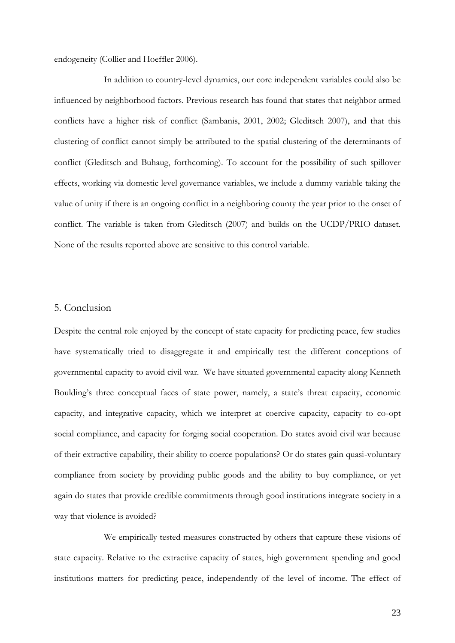endogeneity (Collier and Hoeffler 2006).

In addition to country-level dynamics, our core independent variables could also be influenced by neighborhood factors. Previous research has found that states that neighbor armed conflicts have a higher risk of conflict (Sambanis, 2001, 2002; Gleditsch 2007), and that this clustering of conflict cannot simply be attributed to the spatial clustering of the determinants of conflict (Gleditsch and Buhaug, forthcoming). To account for the possibility of such spillover effects, working via domestic level governance variables, we include a dummy variable taking the value of unity if there is an ongoing conflict in a neighboring county the year prior to the onset of conflict. The variable is taken from Gleditsch (2007) and builds on the UCDP/PRIO dataset. None of the results reported above are sensitive to this control variable.

#### 5. Conclusion

Despite the central role enjoyed by the concept of state capacity for predicting peace, few studies have systematically tried to disaggregate it and empirically test the different conceptions of governmental capacity to avoid civil war. We have situated governmental capacity along Kenneth Boulding's three conceptual faces of state power, namely, a state's threat capacity, economic capacity, and integrative capacity, which we interpret at coercive capacity, capacity to co-opt social compliance, and capacity for forging social cooperation. Do states avoid civil war because of their extractive capability, their ability to coerce populations? Or do states gain quasi-voluntary compliance from society by providing public goods and the ability to buy compliance, or yet again do states that provide credible commitments through good institutions integrate society in a way that violence is avoided?

We empirically tested measures constructed by others that capture these visions of state capacity. Relative to the extractive capacity of states, high government spending and good institutions matters for predicting peace, independently of the level of income. The effect of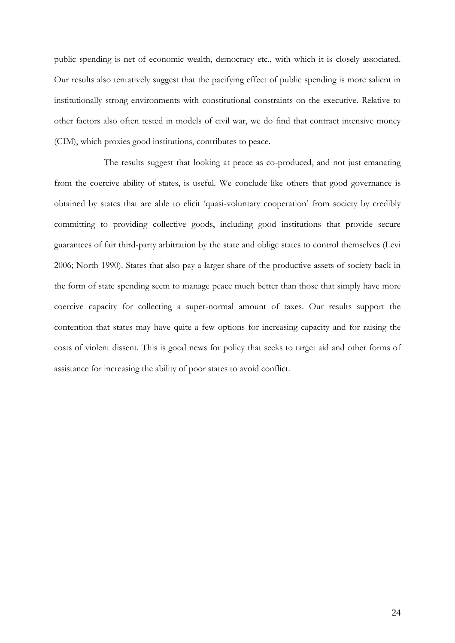public spending is net of economic wealth, democracy etc., with which it is closely associated. Our results also tentatively suggest that the pacifying effect of public spending is more salient in institutionally strong environments with constitutional constraints on the executive. Relative to other factors also often tested in models of civil war, we do find that contract intensive money (CIM), which proxies good institutions, contributes to peace.

The results suggest that looking at peace as co-produced, and not just emanating from the coercive ability of states, is useful. We conclude like others that good governance is obtained by states that are able to elicit 'quasi-voluntary cooperation' from society by credibly committing to providing collective goods, including good institutions that provide secure guarantees of fair third-party arbitration by the state and oblige states to control themselves (Levi 2006; North 1990). States that also pay a larger share of the productive assets of society back in the form of state spending seem to manage peace much better than those that simply have more coercive capacity for collecting a super-normal amount of taxes. Our results support the contention that states may have quite a few options for increasing capacity and for raising the costs of violent dissent. This is good news for policy that seeks to target aid and other forms of assistance for increasing the ability of poor states to avoid conflict.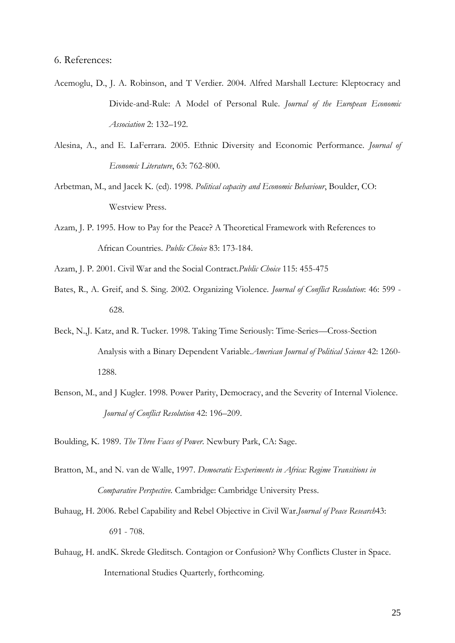- Acemoglu, D., J. A. Robinson, and T Verdier. 2004. Alfred Marshall Lecture: Kleptocracy and Divide-and-Rule: A Model of Personal Rule. *Journal of the European Economic Association* 2: 132–192.
- Alesina, A., and E. LaFerrara. 2005. Ethnic Diversity and Economic Performance. *Journal of Economic Literature*, 63: 762-800.
- Arbetman, M., and Jacek K. (ed). 1998. *Political capacity and Economic Behaviour*, Boulder, CO: Westview Press.
- Azam, J. P. 1995. How to Pay for the Peace? A Theoretical Framework with References to African Countries. *Public Choice* 83: 173-184.
- Azam, J. P. 2001. Civil War and the Social Contract.*Public Choice* 115: 455-475
- Bates, R., A. Greif, and S. Sing. 2002. Organizing Violence. *Journal of Conflict Resolution*: 46: 599 628.
- Beck, N.,J. Katz, and R. Tucker. 1998. Taking Time Seriously: Time-Series—Cross-Section Analysis with a Binary Dependent Variable.*American Journal of Political Science* 42: 1260- 1288.
- Benson, M., and J Kugler. 1998. Power Parity, Democracy, and the Severity of Internal Violence. *Journal of Conflict Resolution* 42: 196–209.

Boulding, K. 1989. *The Three Faces of Power*. Newbury Park, CA: Sage.

- Bratton, M., and N. van de Walle, 1997. *Democratic Experiments in Africa: Regime Transitions in Comparative Perspective.* Cambridge: Cambridge University Press.
- Buhaug, H. 2006. Rebel Capability and Rebel Objective in Civil War.*Journal of Peace Research*43: 691 - 708.
- Buhaug, H. andK. Skrede Gleditsch. Contagion or Confusion? Why Conflicts Cluster in Space. International Studies Quarterly, forthcoming.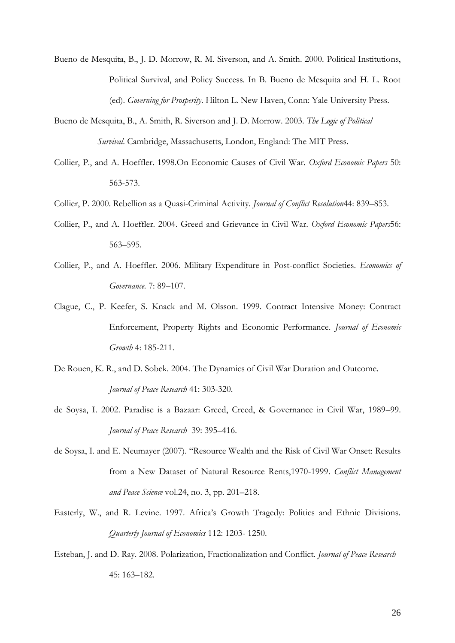- Bueno de Mesquita, B., J. D. Morrow, R. M. Siverson, and A. Smith. 2000. Political Institutions, Political Survival, and Policy Success. In B. Bueno de Mesquita and H. L. Root (ed). *Governing for Prosperity*. Hilton L. New Haven, Conn: Yale University Press.
- Bueno de Mesquita, B., A. Smith, R. Siverson and J. D. Morrow. 2003. *The Logic of Political Survival*. Cambridge, Massachusetts, London, England: The MIT Press.
- Collier, P., and A. Hoeffler. 1998.On Economic Causes of Civil War. *Oxford Economic Papers* 50: 563-573.
- Collier, P. 2000. Rebellion as a Quasi-Criminal Activity. *Journal of Conflict Resolution*44: 839–853.
- Collier, P., and A. Hoeffler. 2004. Greed and Grievance in Civil War. *Oxford Economic Papers*56: 563–595.
- Collier, P., and A. Hoeffler. 2006. Military Expenditure in Post-conflict Societies. *Economics of Governance.* 7: 89–107.
- Clague, C., P. Keefer, S. Knack and M. Olsson. 1999. Contract Intensive Money: Contract Enforcement, Property Rights and Economic Performance. *Journal of Economic Growth* 4: 185-211.
- De Rouen, K. R., and D. Sobek. 2004. The Dynamics of Civil War Duration and Outcome. *Journal of Peace Research* 41: 303-320.
- de Soysa, I. 2002. Paradise is a Bazaar: Greed, Creed, & Governance in Civil War, 1989–99. *Journal of Peace Research* 39: 395–416.
- de Soysa, I. and E. Neumayer (2007). "Resource Wealth and the Risk of Civil War Onset: Results from a New Dataset of Natural Resource Rents,1970-1999. *Conflict Management and Peace Science* vol.24, no. 3, pp. 201–218.
- Easterly, W., and R. Levine. 1997. Africa's Growth Tragedy: Politics and Ethnic Divisions. *Quarterly Journal of Economics* 112: 1203- 1250.
- Esteban, J. and D. Ray. 2008. Polarization, Fractionalization and Conflict. *Journal of Peace Research*  45: 163–182.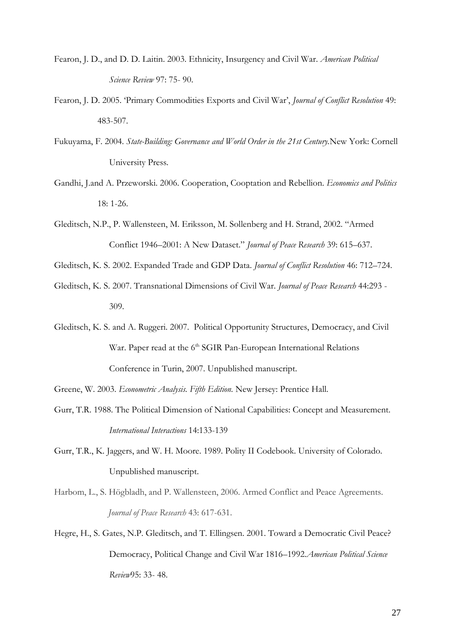- Fearon, J. D., and D. D. Laitin. 2003. Ethnicity, Insurgency and Civil War. *American Political Science Review* 97: 75- 90.
- Fearon, J. D. 2005. 'Primary Commodities Exports and Civil War', *Journal of Conflict Resolution* 49: 483-507.
- Fukuyama, F. 2004. *State-Building: Governance and World Order in the 21st Century.*New York: Cornell University Press.
- Gandhi, J.and A. Przeworski. 2006. Cooperation, Cooptation and Rebellion. *Economics and Politics*  18: 1-26.
- Gleditsch, N.P., P. Wallensteen, M. Eriksson, M. Sollenberg and H. Strand, 2002. "Armed Conflict 1946–2001: A New Dataset." *Journal of Peace Research* 39: 615–637.
- Gleditsch, K. S. 2002. Expanded Trade and GDP Data. *Journal of Conflict Resolution* 46: 712–724.
- Gleditsch, K. S. 2007. Transnational Dimensions of Civil War. *Journal of Peace Research* 44:293 309.
- Gleditsch, K. S. and A. Ruggeri. 2007. Political Opportunity Structures, Democracy, and Civil War. Paper read at the 6<sup>th</sup> SGIR Pan-European International Relations Conference in Turin, 2007. Unpublished manuscript.

Greene, W. 2003. *Econometric Analysis. Fifth Edition.* New Jersey: Prentice Hall.

- Gurr, T.R. 1988. The Political Dimension of National Capabilities: Concept and Measurement. *International Interactions* 14:133-139
- Gurr, T.R., K. Jaggers, and W. H. Moore. 1989. Polity II Codebook. University of Colorado. Unpublished manuscript.
- Harbom, L., S. Högbladh, and P. Wallensteen, 2006. Armed Conflict and Peace Agreements. *Journal of Peace Research* 43: 617-631.
- Hegre, H., S. Gates, N.P. Gleditsch, and T. Ellingsen. 2001. Toward a Democratic Civil Peace? Democracy, Political Change and Civil War 1816–1992.*American Political Science Review*95: 33- 48.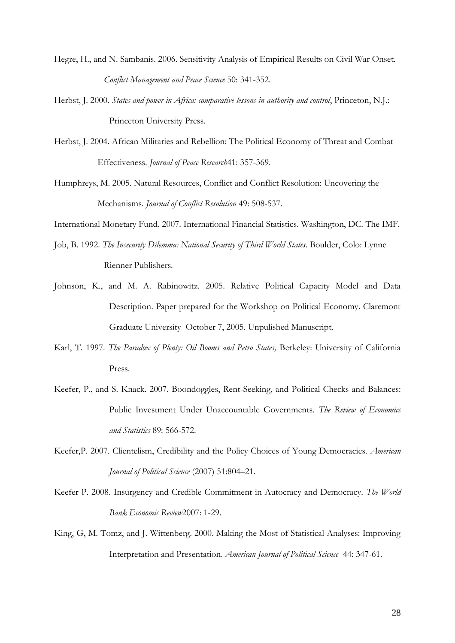- Hegre, H., and N. Sambanis. 2006. Sensitivity Analysis of Empirical Results on Civil War Onset. *Conflict Management and Peace Science* 50: 341-352.
- Herbst, J. 2000. *States and power in Africa: comparative lessons in authority and control*, Princeton, N.J.: Princeton University Press.
- Herbst, J. 2004. African Militaries and Rebellion: The Political Economy of Threat and Combat Effectiveness. *Journal of Peace Research*41: 357-369.
- Humphreys, M. 2005. Natural Resources, Conflict and Conflict Resolution: Uncovering the Mechanisms. *Journal of Conflict Resolution* 49: 508-537.

International Monetary Fund. 2007. International Financial Statistics. Washington, DC. The IMF.

- Job, B. 1992. *The Insecurity Dilemma: National Security of Third World States*. Boulder, Colo: Lynne Rienner Publishers.
- Johnson, K., and M. A. Rabinowitz. 2005. Relative Political Capacity Model and Data Description. Paper prepared for the Workshop on Political Economy. Claremont Graduate University October 7, 2005. Unpulished Manuscript.
- Karl, T. 1997. *The Paradox of Plenty: Oil Booms and Petro States,* Berkeley: University of California Press.
- Keefer, P., and S. Knack. 2007. Boondoggles, Rent-Seeking, and Political Checks and Balances: Public Investment Under Unaccountable Governments. *The Review of Economics and Statistics* 89: 566-572.
- Keefer,P. 2007. Clientelism, Credibility and the Policy Choices of Young Democracies. *American Journal of Political Science* (2007) 51:804–21.
- Keefer P. 2008. Insurgency and Credible Commitment in Autocracy and Democracy. *The World Bank Economic Review*2007: 1-29.
- King, G, M. Tomz, and J. Wittenberg. 2000. Making the Most of Statistical Analyses: Improving Interpretation and Presentation. *American Journal of Political Science* 44: 347-61.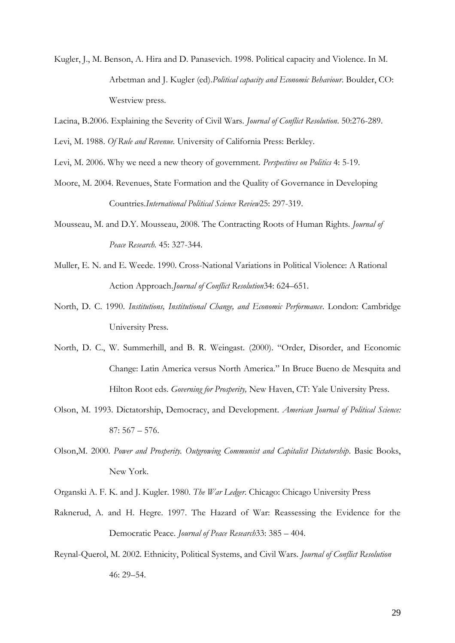- Kugler, J., M. Benson, A. Hira and D. Panasevich. 1998. Political capacity and Violence. In M. Arbetman and J. Kugler (ed).*Political capacity and Economic Behaviour*. Boulder, CO: Westview press.
- Lacina, B.2006. Explaining the Severity of Civil Wars. *Journal of Conflict Resolution*. 50:276-289.
- Levi, M. 1988. *Of Rule and Revenue.* University of California Press: Berkley.
- Levi, M. 2006. Why we need a new theory of government. *Perspectives on Politics* 4: 5-19.
- Moore, M. 2004. Revenues, State Formation and the Quality of Governance in Developing Countries.*International Political Science Review*25: 297-319.
- Mousseau, M. and D.Y. Mousseau, 2008. The Contracting Roots of Human Rights. *Journal of Peace Research.* 45: 327-344.
- Muller, E. N. and E. Weede. 1990. Cross-National Variations in Political Violence: A Rational Action Approach.*Journal of Conflict Resolution*34: 624–651.
- North, D. C. 1990. *Institutions, Institutional Change, and Economic Performance*. London: Cambridge University Press.
- North, D. C., W. Summerhill, and B. R. Weingast. (2000). "Order, Disorder, and Economic Change: Latin America versus North America." In Bruce Bueno de Mesquita and Hilton Root eds. *Governing for Prosperity,* New Haven, CT: Yale University Press.
- Olson, M. 1993. Dictatorship, Democracy, and Development. *American Journal of Political Science:*  87: 567 – 576.
- Olson,M. 2000. *Power and Prosperity. Outgrowing Communist and Capitalist Dictatorship*. Basic Books, New York.
- Organski A. F. K. and J. Kugler. 1980. *The War Ledger*. Chicago: Chicago University Press
- Raknerud, A. and H. Hegre. 1997. The Hazard of War: Reassessing the Evidence for the Democratic Peace. *Journal of Peace Research*33: 385 – 404.
- Reynal-Querol, M. 2002. Ethnicity, Political Systems, and Civil Wars. *Journal of Conflict Resolution*  46: 29–54.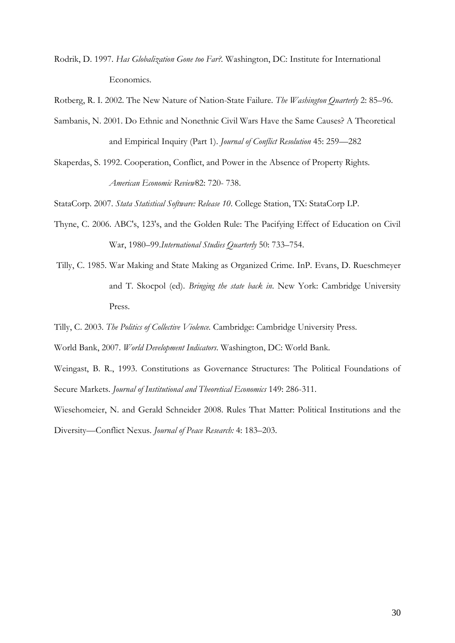Rodrik, D. 1997. *Has Globalization Gone too Far?.* Washington, DC: Institute for International Economics.

Rotberg, R. I. 2002. The New Nature of Nation-State Failure. *The Washington Quarterly* 2: 85–96.

- Sambanis, N. 2001. Do Ethnic and Nonethnic Civil Wars Have the Same Causes? A Theoretical and Empirical Inquiry (Part 1). *Journal of Conflict Resolution* 45: 259—282
- Skaperdas, S. 1992. Cooperation, Conflict, and Power in the Absence of Property Rights. *American Economic Review*82: 720- 738.

StataCorp. 2007. *Stata Statistical Software: Release 10*. College Station, TX: StataCorp LP.

- Thyne, C. 2006. ABC's, 123's, and the Golden Rule: The Pacifying Effect of Education on Civil War, 1980–99.*International Studies Quarterly* 50: 733–754.
- Tilly, C. 1985. War Making and State Making as Organized Crime. InP. Evans, D. Rueschmeyer and T. Skocpol (ed). *Bringing the state back in*. New York: Cambridge University Press.
- Tilly, C. 2003. *The Politics of Collective Violence.* Cambridge: Cambridge University Press.
- World Bank, 2007. *World Development Indicators*. Washington, DC: World Bank.
- Weingast, B. R., 1993. Constitutions as Governance Structures: The Political Foundations of Secure Markets. *Journal of Institutional and Theoretical Economics* 149: 286-311.

Wiesehomeier, N. and Gerald Schneider 2008. Rules That Matter: Political Institutions and the Diversity—Conflict Nexus. *Journal of Peace Research:* 4: 183–203.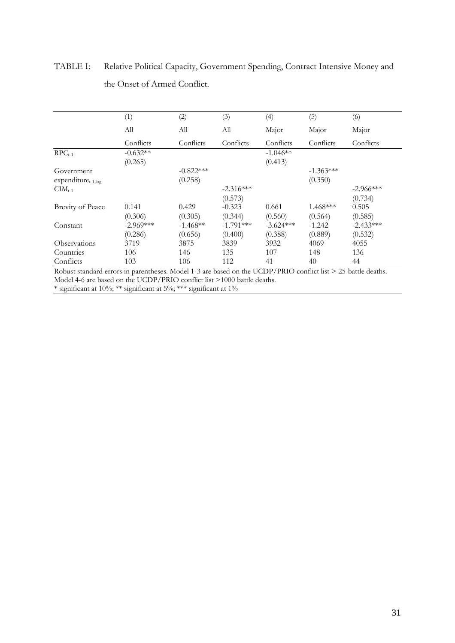# TABLE I: Relative Political Capacity, Government Spending, Contract Intensive Money and the Onset of Armed Conflict.

|                         | (1)                   | (2)         | (3)         | (4)                   | (5)         | (6)         |
|-------------------------|-----------------------|-------------|-------------|-----------------------|-------------|-------------|
|                         | Аll                   | All         | Аll         | Major                 | Major       | Major       |
|                         | Conflicts             | Conflicts   | Conflicts   | Conflicts             | Conflicts   | Conflicts   |
| $RPC_{t-1}$             | $-0.632**$<br>(0.265) |             |             | $-1.046**$<br>(0.413) |             |             |
| Government              |                       | $-0.822***$ |             |                       | $-1.363***$ |             |
| $expenditure_{t-1,log}$ |                       | (0.258)     |             |                       | (0.350)     |             |
| $CIM_{t-1}$             |                       |             | $-2.316***$ |                       |             | $-2.966***$ |
|                         |                       |             | (0.573)     |                       |             | (0.734)     |
| <b>Brevity of Peace</b> | 0.141                 | 0.429       | $-0.323$    | 0.661                 | $1.468***$  | 0.505       |
|                         | (0.306)               | (0.305)     | (0.344)     | (0.560)               | (0.564)     | (0.585)     |
| Constant                | $-2.969***$           | $-1.468**$  | $-1.791***$ | $-3.624***$           | $-1.242$    | $-2.433***$ |
|                         | (0.286)               | (0.656)     | (0.400)     | (0.388)               | (0.889)     | (0.532)     |
| Observations            | 3719                  | 3875        | 3839        | 3932                  | 4069        | 4055        |
| Countries               | 106                   | 146         | 135         | 107                   | 148         | 136         |
| Conflicts               | 103                   | 106         | 112         | 41                    | 40          | 44          |

Robust standard errors in parentheses. Model 1-3 are based on the UCDP/PRIO conflict list > 25-battle deaths. Model 4-6 are based on the UCDP/PRIO conflict list >1000 battle deaths. \* significant at 10%; \*\* significant at 5%; \*\*\* significant at 1%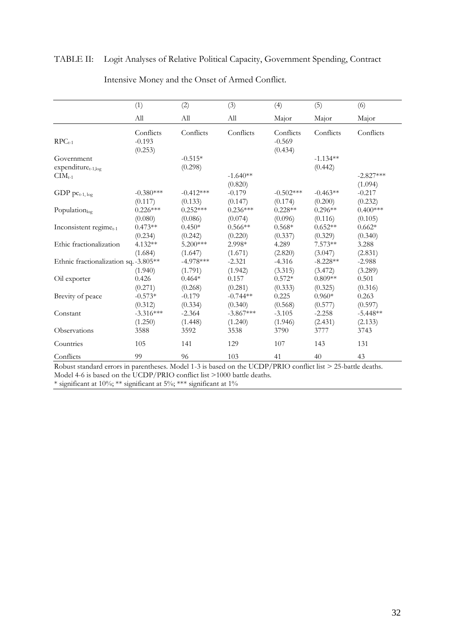## TABLE II: Logit Analyses of Relative Political Capacity, Government Spending, Contract

|                                                             | (1)                              | (2)                    | (3)                            | (4)                              | (5)                   | (6)                            |
|-------------------------------------------------------------|----------------------------------|------------------------|--------------------------------|----------------------------------|-----------------------|--------------------------------|
|                                                             | All                              | All                    | All                            | Major                            | Major                 | Major                          |
| $RPC_{t-1}$                                                 | Conflicts<br>$-0.193$<br>(0.253) | Conflicts              | Conflicts                      | Conflicts<br>$-0.569$<br>(0.434) | Conflicts             | Conflicts                      |
| Government<br>expenditure <sub>t-1,log</sub><br>$CIM_{t-1}$ |                                  | $-0.515*$<br>(0.298)   | $-1.640**$                     |                                  | $-1.134**$<br>(0.442) | $-2.827***$                    |
| GDP $pc_{t-1, log}$                                         | $-0.380***$<br>(0.117)           | $-0.412***$<br>(0.133) | (0.820)<br>$-0.179$<br>(0.147) | $-0.502***$<br>(0.174)           | $-0.463**$<br>(0.200) | (1.094)<br>$-0.217$<br>(0.232) |
| Population <sub>log</sub>                                   | $0.226***$<br>(0.080)            | $0.252***$<br>(0.086)  | $0.236***$<br>(0.074)          | $0.228**$<br>(0.096)             | $0.296**$<br>(0.116)  | $0.400***$<br>(0.105)          |
| Inconsistent regime $_{t-1}$                                | $0.473**$<br>(0.234)             | $0.450*$<br>(0.242)    | $0.566**$<br>(0.220)           | $0.568*$<br>(0.337)              | $0.652**$<br>(0.329)  | $0.662*$<br>(0.340)            |
| Ethic fractionalization                                     | 4.132**<br>(1.684)               | 5.200***<br>(1.647)    | 2.998*<br>(1.671)              | 4.289<br>(2.820)                 | $7.573**$<br>(3.047)  | 3.288<br>(2.831)               |
| Ethnic fractionalization sq. -3.805**                       | (1.940)                          | $-4.978***$<br>(1.791) | $-2.321$<br>(1.942)            | $-4.316$<br>(3.315)              | $-8.228**$<br>(3.472) | $-2.988$<br>(3.289)            |
| Oil exporter                                                | 0.426<br>(0.271)                 | $0.464*$<br>(0.268)    | 0.157<br>(0.281)               | $0.572*$<br>(0.333)              | $0.809**$<br>(0.325)  | 0.501<br>(0.316)               |
| Brevity of peace                                            | $-0.573*$<br>(0.312)             | $-0.179$<br>(0.334)    | $-0.744**$<br>(0.340)          | 0.225<br>(0.568)                 | $0.960*$<br>(0.577)   | 0.263<br>(0.597)               |
| Constant                                                    | $-3.316***$<br>(1.250)           | $-2.364$<br>(1.448)    | $-3.867***$<br>(1.240)         | $-3.105$<br>(1.946)              | $-2.258$<br>(2.431)   | $-5.448**$<br>(2.133)          |
| Observations                                                | 3588                             | 3592                   | 3538                           | 3790                             | 3777                  | 3743                           |
| Countries                                                   | 105                              | 141                    | 129                            | 107                              | 143                   | 131                            |
| Conflicts                                                   | 99                               | 96                     | 103                            | 41                               | 40                    | 43                             |

Intensive Money and the Onset of Armed Conflict.

Robust standard errors in parentheses. Model 1-3 is based on the UCDP/PRIO conflict list > 25-battle deaths. Model 4-6 is based on the UCDP/PRIO conflict list >1000 battle deaths.

\* significant at 10%; \*\* significant at 5%; \*\*\* significant at 1%